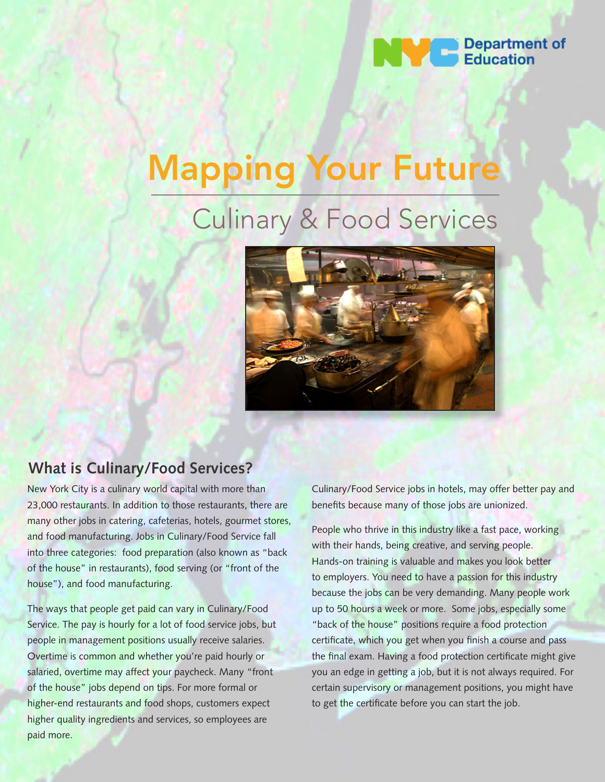

# Mapping Your Future

# Culinary & Food Services



### **What is Culinary/Food Services?**

New York City is a culinary world capital with more than 23,000 restaurants. In addition to those restaurants, there are many other jobs in catering, cafeterias, hotels, gourmet stores, and food manufacturing. Jobs in Culinary/Food Service fall into three categories: food preparation (also known as "back of the house" in restaurants), food serving (or "front of the house"), and food manufacturing.

The ways that people get paid can vary in Culinary/Food Service. The pay is hourly for a lot of food service jobs, but people in management positions usually receive salaries. Overtime is common and whether you're paid hourly or salaried, overtime may affect your paycheck. Many "front of the house" jobs depend on tips. For more formal or higher-end restaurants and food shops, customers expect higher quality ingredients and services, so employees are paid more.

Culinary/Food Service jobs in hotels, may offer better pay and benefits because many of those jobs are unionized.

People who thrive in this industry like a fast pace, working with their hands, being creative, and serving people. Hands-on training is valuable and makes you look better to employers. You need to have a passion for this industry because the jobs can be very demanding. Many people work up to 50 hours a week or more. Some jobs, especially some "back of the house" positions require a food protection certificate, which you get when you finish a course and pass the final exam. Having a food protection certificate might give you an edge in getting a job, but it is not always required. For certain supervisory or management positions, you might have to get the certificate before you can start the job.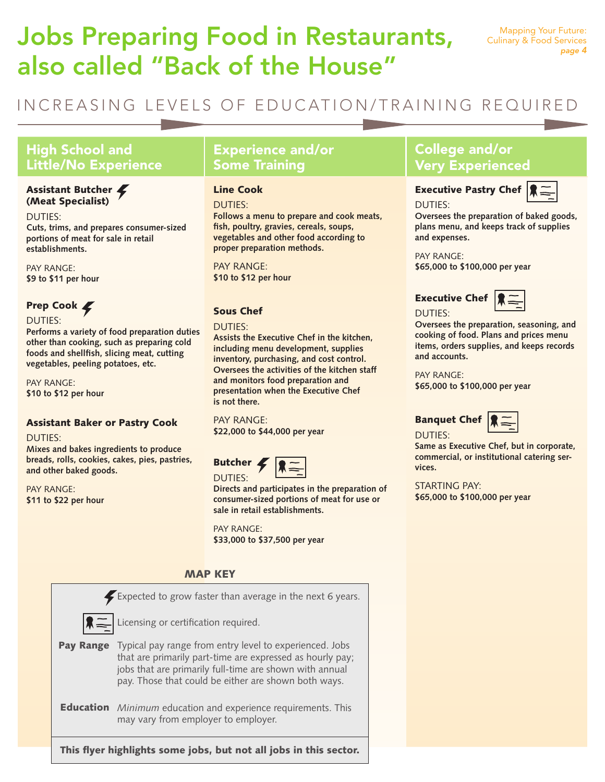## Jobs Preparing Food in Restaurants, also called "Back of the House"

### INCREASING LEVELS OF EDUCATION/TRAINING REQUIRED

### High School and Little/No Experience

### Assistant Butcher (Meat Specialist)

DUTIES:

**Cuts, trims, and prepares consumer-sized portions of meat for sale in retail establishments.** 

PAY RANGE: **\$9 to \$11 per hour**

### Prep Cook  $\blacktriangleright$

DUTIES:

**Performs a variety of food preparation duties other than cooking, such as preparing cold foods and shellfish, slicing meat, cutting vegetables, peeling potatoes, etc.** 

PAY RANGE: **\$10 to \$12 per hour**

### Assistant Baker or Pastry Cook

DUTIES:

**Mixes and bakes ingredients to produce breads, rolls, cookies, cakes, pies, pastries, and other baked goods.** 

PAY RANGE: **\$11 to \$22 per hour**

### Experience and/or Some Training

### Line Cook

DUTIES:

**Follows a menu to prepare and cook meats, fish, poultry, gravies, cereals, soups, vegetables and other food according to proper preparation methods.** 

PAY RANGE: **\$10 to \$12 per hour**

### Sous Chef

#### DUTIES:

**Assists the Executive Chef in the kitchen, including menu development, supplies inventory, purchasing, and cost control. Oversees the activities of the kitchen staff and monitors food preparation and presentation when the Executive Chef is not there.** 

PAY RANGE: **\$22,000 to \$44,000 per year**



**Directs and participates in the preparation of consumer-sized portions of meat for use or sale in retail establishments.** 

PAY RANGE: **\$33,000 to \$37,500 per year**

### MAP KEY



# College and/or

DUTIES:

DUTIES:

Very Experienced Executive Pastry Chef



**Oversees the preparation of baked goods, plans menu, and keeps track of supplies and expenses.** 

PAY RANGE: **\$65,000 to \$100,000 per year**

### Executive Chef



**Oversees the preparation, seasoning, and cooking of food. Plans and prices menu items, orders supplies, and keeps records and accounts.**

PAY RANGE: **\$65,000 to \$100,000 per year**



**Same as Executive Chef, but in corporate, commercial, or institutional catering services.**

STARTING PAY: **\$65,000 to \$100,000 per year**

This flyer highlights some jobs, but not all jobs in this sector.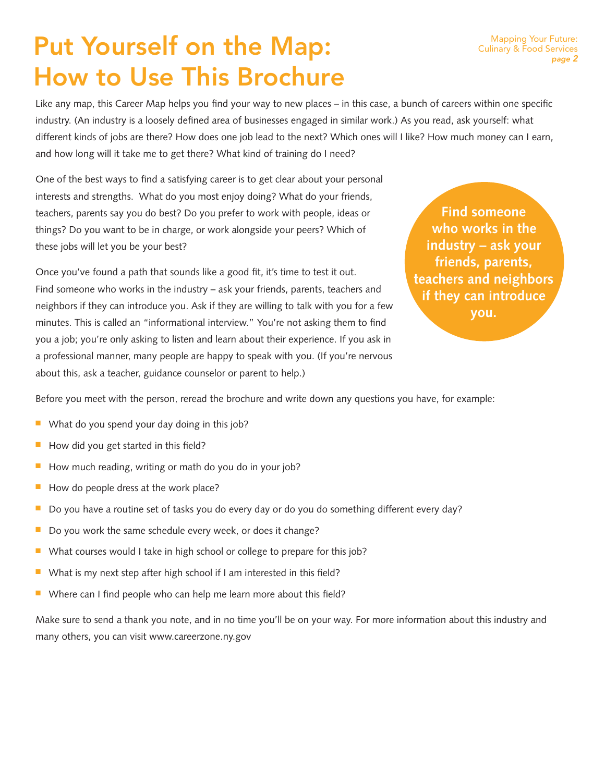## Put Yourself on the Map: How to Use This Brochure

Like any map, this Career Map helps you find your way to new places – in this case, a bunch of careers within one specific industry. (An industry is a loosely defined area of businesses engaged in similar work.) As you read, ask yourself: what different kinds of jobs are there? How does one job lead to the next? Which ones will I like? How much money can I earn, and how long will it take me to get there? What kind of training do I need?

One of the best ways to find a satisfying career is to get clear about your personal interests and strengths. What do you most enjoy doing? What do your friends, teachers, parents say you do best? Do you prefer to work with people, ideas or things? Do you want to be in charge, or work alongside your peers? Which of these jobs will let you be your best?

Once you've found a path that sounds like a good fit, it's time to test it out. Find someone who works in the industry – ask your friends, parents, teachers and neighbors if they can introduce you. Ask if they are willing to talk with you for a few minutes. This is called an "informational interview." You're not asking them to find you a job; you're only asking to listen and learn about their experience. If you ask in a professional manner, many people are happy to speak with you. (If you're nervous about this, ask a teacher, guidance counselor or parent to help.)

**Find someone who works in the industry – ask your friends, parents, teachers and neighbors if they can introduce you.**

Before you meet with the person, reread the brochure and write down any questions you have, for example:

- $\blacksquare$  What do you spend your day doing in this job?
- $\blacksquare$  How did you get started in this field?
- $\blacksquare$  How much reading, writing or math do you do in your job?
- $\blacksquare$  How do people dress at the work place?
- Do you have a routine set of tasks you do every day or do you do something different every day?
- $\blacksquare$  Do you work the same schedule every week, or does it change?
- $\blacksquare$  What courses would I take in high school or college to prepare for this job?
- $\blacksquare$  What is my next step after high school if I am interested in this field?
- Where can I find people who can help me learn more about this field?

Make sure to send a thank you note, and in no time you'll be on your way. For more information about this industry and many others, you can visit www.careerzone.ny.gov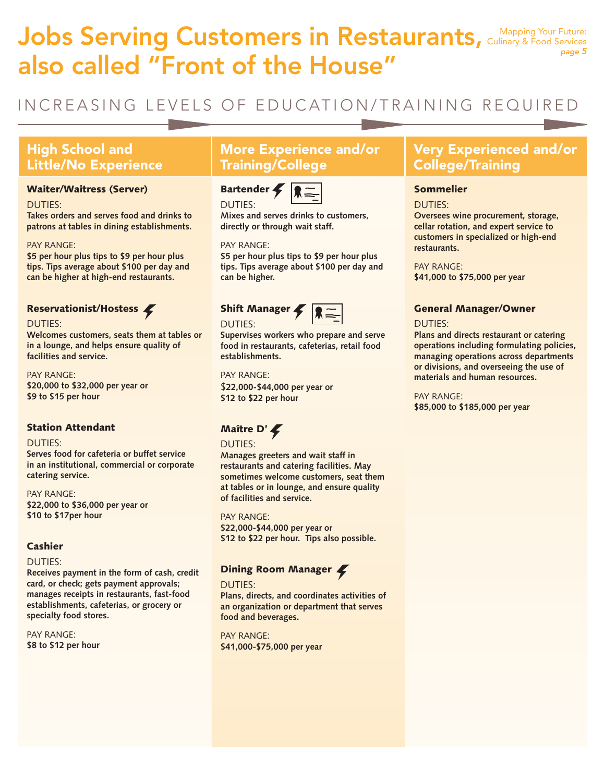### Jobs Serving Customers in Restaurants, Culinary & Food Services also called "Front of the House" Culinary & Food Services *page 5*

### INCREASING LEVELS OF EDUCATION/TRAINING REQUIRED

### High School and Little/No Experience

### Waiter/Waitress (Server)

#### DUTIES:

**Takes orders and serves food and drinks to patrons at tables in dining establishments.** 

### PAY RANGE:

**\$5 per hour plus tips to \$9 per hour plus tips. Tips average about \$100 per day and can be higher at high-end restaurants.**

### Reservationist/Hostess

#### DUTIES:

**Welcomes customers, seats them at tables or in a lounge, and helps ensure quality of facilities and service.** 

PAY RANGE: **\$20,000 to \$32,000 per year or \$9 to \$15 per hour** 

### Station Attendant

### DUTIES:

**Serves food for cafeteria or buffet service in an institutional, commercial or corporate catering service.** 

PAY RANGE: **\$22,000 to \$36,000 per year or \$10 to \$17per hour**

### Cashier

#### DUTIES:

**Receives payment in the form of cash, credit card, or check; gets payment approvals; manages receipts in restaurants, fast-food establishments, cafeterias, or grocery or specialty food stores.** 

PAY RANGE: **\$8 to \$12 per hour**

### More Experience and/or Training/College

### Bartender DUTIES:



**Mixes and serves drinks to customers, directly or through wait staff.** 

### PAY RANGE:

**\$5 per hour plus tips to \$9 per hour plus tips. Tips average about \$100 per day and can be higher.** 

### Shift Manager



#### DUTIES:

**Supervises workers who prepare and serve food in restaurants, cafeterias, retail food** 

### **establishments.**  PAY RANGE:

\$**22,000-\$44,000 per year or \$12 to \$22 per hour**

### Maître D'

### DUTIES:

**Manages greeters and wait staff in restaurants and catering facilities. May sometimes welcome customers, seat them at tables or in lounge, and ensure quality of facilities and service.** 

PAY RANGE: **\$22,000-\$44,000 per year or \$12 to \$22 per hour. Tips also possible.**

### Dining Room Manager

#### DUTIES:

**Plans, directs, and coordinates activities of an organization or department that serves food and beverages.** 

PAY RANGE: **\$41,000-\$75,000 per year**

### Very Experienced and/or College/Training

### Sommelier

### DUTIES:

**Oversees wine procurement, storage, cellar rotation, and expert service to customers in specialized or high-end restaurants.** 

PAY RANGE: **\$41,000 to \$75,000 per year**

### General Manager/Owner

### DUTIES:

**Plans and directs restaurant or catering operations including formulating policies, managing operations across departments or divisions, and overseeing the use of materials and human resources.** 

PAY RANGE: **\$85,000 to \$185,000 per year**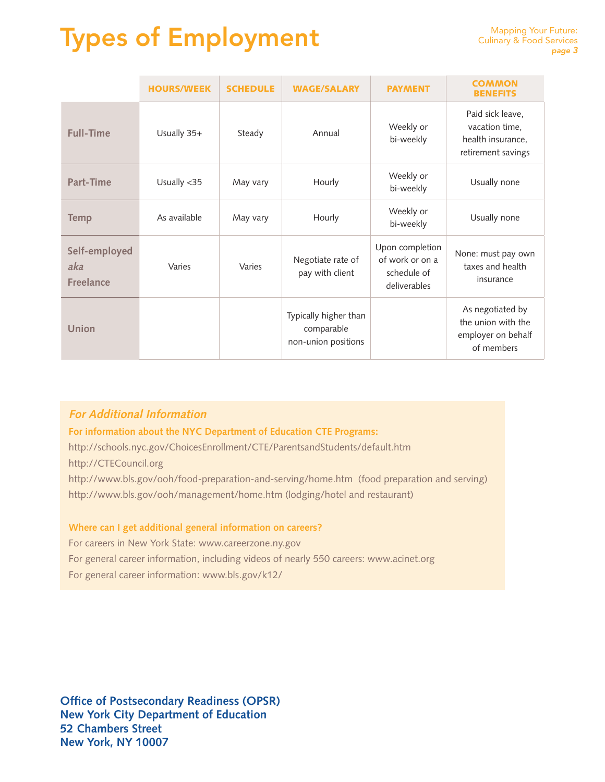# Types of Employment

|                                          | <b>HOURS/WEEK</b> | <b>SCHEDULE</b> | <b>WAGE/SALARY</b>                                         | <b>PAYMENT</b>                                                    | <b>COMMON</b><br><b>BENEFITS</b>                                              |
|------------------------------------------|-------------------|-----------------|------------------------------------------------------------|-------------------------------------------------------------------|-------------------------------------------------------------------------------|
| <b>Full-Time</b>                         | Usually 35+       | Steady          | Annual                                                     | Weekly or<br>bi-weekly                                            | Paid sick leave,<br>vacation time,<br>health insurance,<br>retirement savings |
| Part-Time                                | Usually $<$ 35    | May vary        | Hourly                                                     | Weekly or<br>bi-weekly                                            | Usually none                                                                  |
| <b>Temp</b>                              | As available      | May vary        | Hourly                                                     | Weekly or<br>bi-weekly                                            | Usually none                                                                  |
| Self-employed<br>aka<br><b>Freelance</b> | Varies            | Varies          | Negotiate rate of<br>pay with client                       | Upon completion<br>of work or on a<br>schedule of<br>deliverables | None: must pay own<br>taxes and health<br>insurance                           |
| <b>Union</b>                             |                   |                 | Typically higher than<br>comparable<br>non-union positions |                                                                   | As negotiated by<br>the union with the<br>employer on behalf<br>of members    |

### **For Additional Information**

**For information about the NYC Department of Education CTE Programs:**

http://schools.nyc.gov/ChoicesEnrollment/CTE/ParentsandStudents/default.htm

http://CTECouncil.org

http://www.bls.gov/ooh/food-preparation-and-serving/home.htm (food preparation and serving) http://www.bls.gov/ooh/management/home.htm (lodging/hotel and restaurant)

### **Where can I get additional general information on careers?**

For careers in New York State: www.careerzone.ny.gov For general career information, including videos of nearly 550 careers: www.acinet.org

For general career information: www.bls.gov/k12/

**Office of Postsecondary Readiness (OPSR) New York City Department of Education 52 Chambers Street New York, NY 10007**